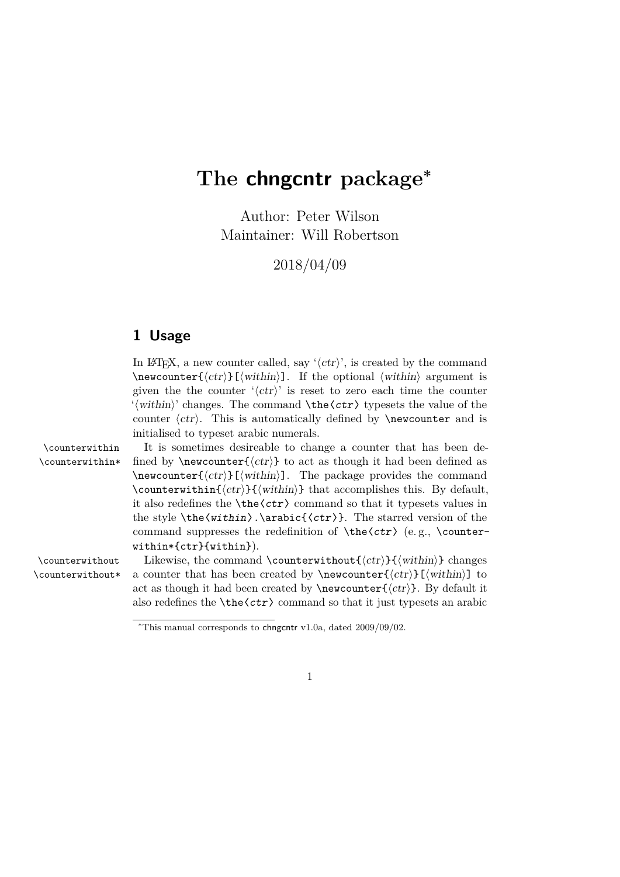## **The chngcntr package<sup>∗</sup>**

Author: Peter Wilson Maintainer: Will Robertson

2018/04/09

## **1 Usage**

In IATEX, a new counter called, say  $\langle \langle \text{ctr} \rangle$ , is created by the command  $\newcenter{\langle ctr \rangle}[\langle within \rangle]$ . If the optional  $\langle within \rangle$  argument is given the the counter  $\langle \langle \text{ctr} \rangle$  is reset to zero each time the counter  $\langle \hat{\text{within}} \rangle$  changes. The command  $\theta \cdot \text{ctr}$  typesets the value of the counter  $\langle \text{ctr} \rangle$ . This is automatically defined by **\newcounter** and is initialised to typeset arabic numerals. \counterwithin It is sometimes desireable to change a counter that has been de- \counterwithin\* fined by \newcounter{ $\langle ctr \rangle$ } to act as though it had been defined as  $\newcounter{\langle ctr \rangle}[\langle within \rangle]$ . The package provides the command \counterwithin{ $\langle ctr \rangle$ }{ $\langle \text{within} \rangle$ } that accomplishes this. By default, it also redefines the  $\theta \ctr$  command so that it typesets values in the style \the〈within〉.\arabic{〈ctr〉}. The starred version of the command suppresses the redefinition of  $\theta$  (e.g.,  $\counter$ within\*{ctr}{within}). \counterwithout Likewise, the command \counterwithout  $\langle \langle \langle \rangle \rangle$  changes \counterwithout\* a counter that has been created by \newcounter $\{\langle \text{ctr}\rangle\}$  to act as though it had been created by  $\newcommand{\csc}{{ctr}}$ . By default it

also redefines the  $\text{ctr}$  command so that it just typesets an arabic

1

<sup>∗</sup>This manual corresponds to chngcntr v1.0a, dated 2009/09/02.